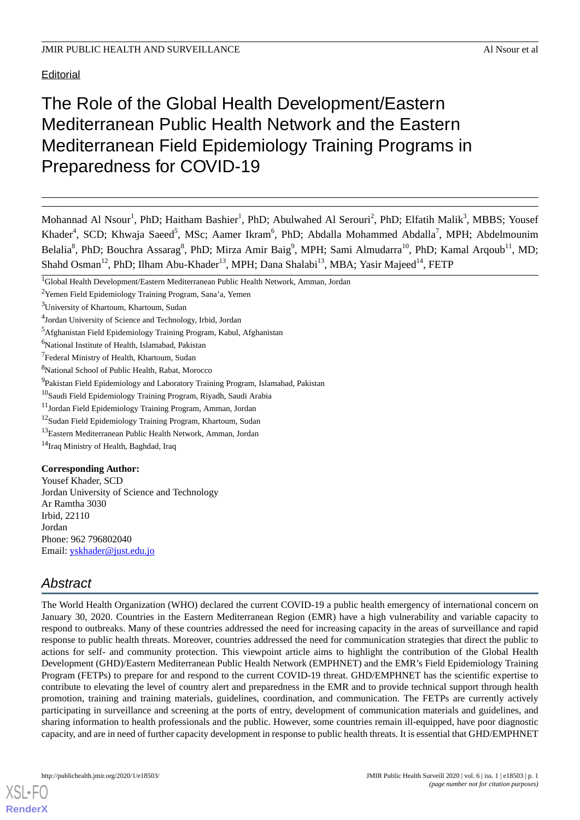**Editorial** 

# The Role of the Global Health Development/Eastern Mediterranean Public Health Network and the Eastern Mediterranean Field Epidemiology Training Programs in Preparedness for COVID-19

Mohannad Al Nsour<sup>1</sup>, PhD; Haitham Bashier<sup>1</sup>, PhD; Abulwahed Al Serouri<sup>2</sup>, PhD; Elfatih Malik<sup>3</sup>, MBBS; Yousef Khader<sup>4</sup>, SCD; Khwaja Saeed<sup>5</sup>, MSc; Aamer Ikram<sup>6</sup>, PhD; Abdalla Mohammed Abdalla<sup>7</sup>, MPH; Abdelmounim Belalia<sup>8</sup>, PhD; Bouchra Assarag<sup>8</sup>, PhD; Mirza Amir Baig<sup>9</sup>, MPH; Sami Almudarra<sup>10</sup>, PhD; Kamal Arqoub<sup>11</sup>, MD; Shahd Osman<sup>12</sup>, PhD; Ilham Abu-Khader<sup>13</sup>, MPH; Dana Shalabi<sup>13</sup>, MBA; Yasir Majeed<sup>14</sup>, FETP

<sup>5</sup>Afghanistan Field Epidemiology Training Program, Kabul, Afghanistan

- <sup>7</sup> Federal Ministry of Health, Khartoum, Sudan
- <sup>8</sup>National School of Public Health, Rabat, Morocco
- <sup>9</sup>Pakistan Field Epidemiology and Laboratory Training Program, Islamabad, Pakistan
- $^{10}$ Saudi Field Epidemiology Training Program, Riyadh, Saudi Arabia
- <sup>11</sup>Jordan Field Epidemiology Training Program, Amman, Jordan
- <sup>12</sup>Sudan Field Epidemiology Training Program, Khartoum, Sudan
- <sup>13</sup>Eastern Mediterranean Public Health Network, Amman, Jordan

<sup>14</sup>Iraq Ministry of Health, Baghdad, Iraq

#### **Corresponding Author:**

Yousef Khader, SCD Jordan University of Science and Technology Ar Ramtha 3030 Irbid, 22110 Jordan Phone: 962 796802040 Email: [yskhader@just.edu.jo](mailto:yskhader@just.edu.jo)

## *Abstract*

The World Health Organization (WHO) declared the current COVID-19 a public health emergency of international concern on January 30, 2020. Countries in the Eastern Mediterranean Region (EMR) have a high vulnerability and variable capacity to respond to outbreaks. Many of these countries addressed the need for increasing capacity in the areas of surveillance and rapid response to public health threats. Moreover, countries addressed the need for communication strategies that direct the public to actions for self- and community protection. This viewpoint article aims to highlight the contribution of the Global Health Development (GHD)/Eastern Mediterranean Public Health Network (EMPHNET) and the EMR's Field Epidemiology Training Program (FETPs) to prepare for and respond to the current COVID-19 threat. GHD/EMPHNET has the scientific expertise to contribute to elevating the level of country alert and preparedness in the EMR and to provide technical support through health promotion, training and training materials, guidelines, coordination, and communication. The FETPs are currently actively participating in surveillance and screening at the ports of entry, development of communication materials and guidelines, and sharing information to health professionals and the public. However, some countries remain ill-equipped, have poor diagnostic capacity, and are in need of further capacity development in response to public health threats. It is essential that GHD/EMPHNET

[XSL](http://www.w3.org/Style/XSL)•FO **[RenderX](http://www.renderx.com/)**

<sup>1</sup>Global Health Development/Eastern Mediterranean Public Health Network, Amman, Jordan

<sup>2</sup>Yemen Field Epidemiology Training Program, Sana'a, Yemen

<sup>&</sup>lt;sup>3</sup>University of Khartoum, Khartoum, Sudan

<sup>4</sup> Jordan University of Science and Technology, Irbid, Jordan

<sup>&</sup>lt;sup>6</sup>National Institute of Health, Islamabad, Pakistan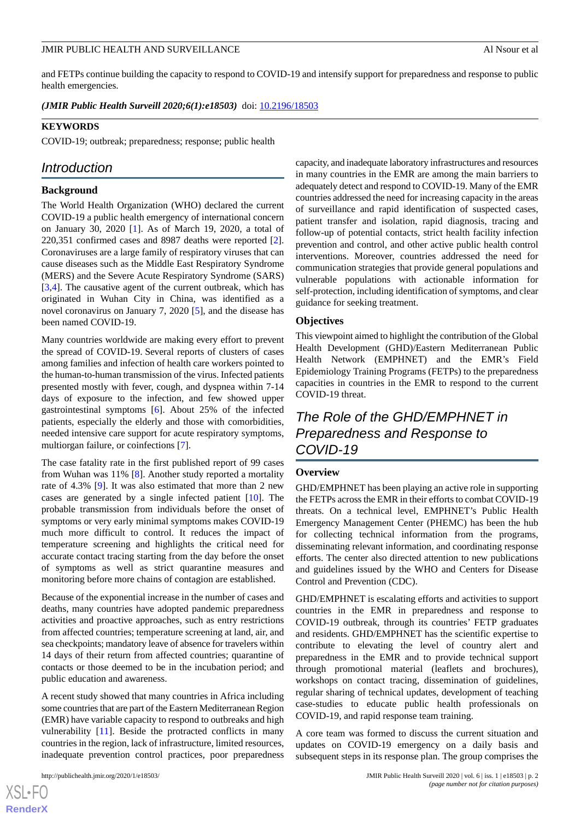and FETPs continue building the capacity to respond to COVID-19 and intensify support for preparedness and response to public health emergencies.

*(JMIR Public Health Surveill 2020;6(1):e18503)* doi: [10.2196/18503](http://dx.doi.org/10.2196/18503)

#### **KEYWORDS**

COVID-19; outbreak; preparedness; response; public health

### *Introduction*

#### **Background**

The World Health Organization (WHO) declared the current COVID-19 a public health emergency of international concern on January 30, 2020 [\[1](#page-3-0)]. As of March 19, 2020, a total of 220,351 confirmed cases and 8987 deaths were reported [[2\]](#page-3-1). Coronaviruses are a large family of respiratory viruses that can cause diseases such as the Middle East Respiratory Syndrome (MERS) and the Severe Acute Respiratory Syndrome (SARS) [[3](#page-3-2)[,4](#page-3-3)]. The causative agent of the current outbreak, which has originated in Wuhan City in China, was identified as a novel coronavirus on January 7, 2020 [\[5](#page-3-4)], and the disease has been named COVID-19.

Many countries worldwide are making every effort to prevent the spread of COVID-19. Several reports of clusters of cases among families and infection of health care workers pointed to the human-to-human transmission of the virus. Infected patients presented mostly with fever, cough, and dyspnea within 7-14 days of exposure to the infection, and few showed upper gastrointestinal symptoms [\[6\]](#page-3-5). About 25% of the infected patients, especially the elderly and those with comorbidities, needed intensive care support for acute respiratory symptoms, multiorgan failure, or coinfections [\[7](#page-3-6)].

The case fatality rate in the first published report of 99 cases from Wuhan was 11% [\[8](#page-3-7)]. Another study reported a mortality rate of 4.3% [\[9](#page-3-8)]. It was also estimated that more than 2 new cases are generated by a single infected patient [\[10](#page-4-0)]. The probable transmission from individuals before the onset of symptoms or very early minimal symptoms makes COVID-19 much more difficult to control. It reduces the impact of temperature screening and highlights the critical need for accurate contact tracing starting from the day before the onset of symptoms as well as strict quarantine measures and monitoring before more chains of contagion are established.

Because of the exponential increase in the number of cases and deaths, many countries have adopted pandemic preparedness activities and proactive approaches, such as entry restrictions from affected countries; temperature screening at land, air, and sea checkpoints; mandatory leave of absence for travelers within 14 days of their return from affected countries; quarantine of contacts or those deemed to be in the incubation period; and public education and awareness.

A recent study showed that many countries in Africa including some countries that are part of the Eastern Mediterranean Region (EMR) have variable capacity to respond to outbreaks and high vulnerability [[11\]](#page-4-1). Beside the protracted conflicts in many countries in the region, lack of infrastructure, limited resources, inadequate prevention control practices, poor preparedness

capacity, and inadequate laboratory infrastructures and resources in many countries in the EMR are among the main barriers to adequately detect and respond to COVID-19. Many of the EMR countries addressed the need for increasing capacity in the areas of surveillance and rapid identification of suspected cases, patient transfer and isolation, rapid diagnosis, tracing and follow-up of potential contacts, strict health facility infection prevention and control, and other active public health control interventions. Moreover, countries addressed the need for communication strategies that provide general populations and vulnerable populations with actionable information for self-protection, including identification of symptoms, and clear guidance for seeking treatment.

#### **Objectives**

This viewpoint aimed to highlight the contribution of the Global Health Development (GHD)/Eastern Mediterranean Public Health Network (EMPHNET) and the EMR's Field Epidemiology Training Programs (FETPs) to the preparedness capacities in countries in the EMR to respond to the current COVID-19 threat.

# *The Role of the GHD/EMPHNET in Preparedness and Response to COVID-19*

#### **Overview**

GHD/EMPHNET has been playing an active role in supporting the FETPs across the EMR in their efforts to combat COVID-19 threats. On a technical level, EMPHNET's Public Health Emergency Management Center (PHEMC) has been the hub for collecting technical information from the programs, disseminating relevant information, and coordinating response efforts. The center also directed attention to new publications and guidelines issued by the WHO and Centers for Disease Control and Prevention (CDC).

GHD/EMPHNET is escalating efforts and activities to support countries in the EMR in preparedness and response to COVID-19 outbreak, through its countries' FETP graduates and residents. GHD/EMPHNET has the scientific expertise to contribute to elevating the level of country alert and preparedness in the EMR and to provide technical support through promotional material (leaflets and brochures), workshops on contact tracing, dissemination of guidelines, regular sharing of technical updates, development of teaching case-studies to educate public health professionals on COVID-19, and rapid response team training.

A core team was formed to discuss the current situation and updates on COVID-19 emergency on a daily basis and subsequent steps in its response plan. The group comprises the

 $XS$  $\cdot$ FC **[RenderX](http://www.renderx.com/)**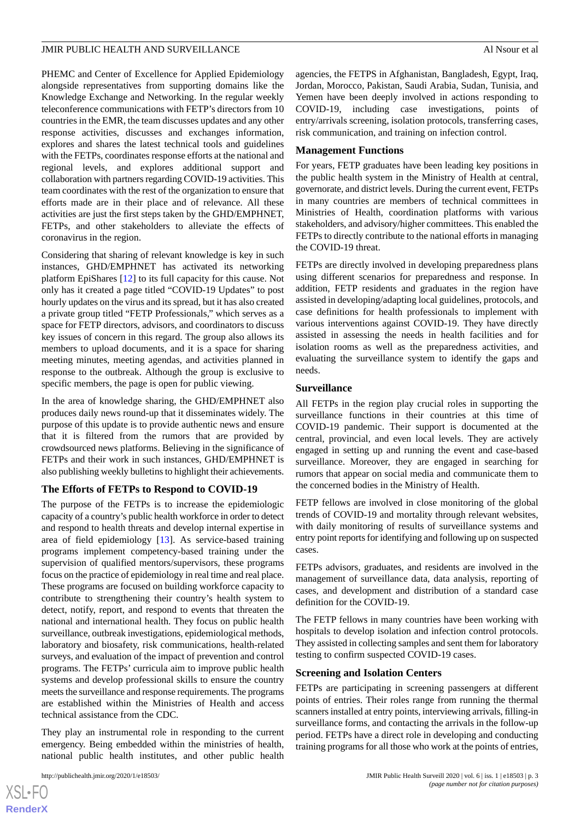PHEMC and Center of Excellence for Applied Epidemiology alongside representatives from supporting domains like the Knowledge Exchange and Networking. In the regular weekly teleconference communications with FETP's directors from 10 countries in the EMR, the team discusses updates and any other response activities, discusses and exchanges information, explores and shares the latest technical tools and guidelines with the FETPs, coordinates response efforts at the national and regional levels, and explores additional support and collaboration with partners regarding COVID-19 activities. This team coordinates with the rest of the organization to ensure that efforts made are in their place and of relevance. All these activities are just the first steps taken by the GHD/EMPHNET, FETPs, and other stakeholders to alleviate the effects of coronavirus in the region.

Considering that sharing of relevant knowledge is key in such instances, GHD/EMPHNET has activated its networking platform EpiShares [\[12](#page-4-2)] to its full capacity for this cause. Not only has it created a page titled "COVID-19 Updates" to post hourly updates on the virus and its spread, but it has also created a private group titled "FETP Professionals," which serves as a space for FETP directors, advisors, and coordinators to discuss key issues of concern in this regard. The group also allows its members to upload documents, and it is a space for sharing meeting minutes, meeting agendas, and activities planned in response to the outbreak. Although the group is exclusive to specific members, the page is open for public viewing.

In the area of knowledge sharing, the GHD/EMPHNET also produces daily news round-up that it disseminates widely. The purpose of this update is to provide authentic news and ensure that it is filtered from the rumors that are provided by crowdsourced news platforms. Believing in the significance of FETPs and their work in such instances, GHD/EMPHNET is also publishing weekly bulletins to highlight their achievements.

#### **The Efforts of FETPs to Respond to COVID-19**

The purpose of the FETPs is to increase the epidemiologic capacity of a country's public health workforce in order to detect and respond to health threats and develop internal expertise in area of field epidemiology [\[13](#page-4-3)]. As service-based training programs implement competency-based training under the supervision of qualified mentors/supervisors, these programs focus on the practice of epidemiology in real time and real place. These programs are focused on building workforce capacity to contribute to strengthening their country's health system to detect, notify, report, and respond to events that threaten the national and international health. They focus on public health surveillance, outbreak investigations, epidemiological methods, laboratory and biosafety, risk communications, health-related surveys, and evaluation of the impact of prevention and control programs. The FETPs' curricula aim to improve public health systems and develop professional skills to ensure the country meets the surveillance and response requirements. The programs are established within the Ministries of Health and access technical assistance from the CDC.

They play an instrumental role in responding to the current emergency. Being embedded within the ministries of health, national public health institutes, and other public health

agencies, the FETPS in Afghanistan, Bangladesh, Egypt, Iraq, Jordan, Morocco, Pakistan, Saudi Arabia, Sudan, Tunisia, and Yemen have been deeply involved in actions responding to COVID-19, including case investigations, points of entry/arrivals screening, isolation protocols, transferring cases, risk communication, and training on infection control.

#### **Management Functions**

For years, FETP graduates have been leading key positions in the public health system in the Ministry of Health at central, governorate, and district levels. During the current event, FETPs in many countries are members of technical committees in Ministries of Health, coordination platforms with various stakeholders, and advisory/higher committees. This enabled the FETPs to directly contribute to the national efforts in managing the COVID-19 threat.

FETPs are directly involved in developing preparedness plans using different scenarios for preparedness and response. In addition, FETP residents and graduates in the region have assisted in developing/adapting local guidelines, protocols, and case definitions for health professionals to implement with various interventions against COVID-19. They have directly assisted in assessing the needs in health facilities and for isolation rooms as well as the preparedness activities, and evaluating the surveillance system to identify the gaps and needs.

#### **Surveillance**

All FETPs in the region play crucial roles in supporting the surveillance functions in their countries at this time of COVID-19 pandemic. Their support is documented at the central, provincial, and even local levels. They are actively engaged in setting up and running the event and case-based surveillance. Moreover, they are engaged in searching for rumors that appear on social media and communicate them to the concerned bodies in the Ministry of Health.

FETP fellows are involved in close monitoring of the global trends of COVID-19 and mortality through relevant websites, with daily monitoring of results of surveillance systems and entry point reports for identifying and following up on suspected cases.

FETPs advisors, graduates, and residents are involved in the management of surveillance data, data analysis, reporting of cases, and development and distribution of a standard case definition for the COVID-19.

The FETP fellows in many countries have been working with hospitals to develop isolation and infection control protocols. They assisted in collecting samples and sent them for laboratory testing to confirm suspected COVID-19 cases.

#### **Screening and Isolation Centers**

FETPs are participating in screening passengers at different points of entries. Their roles range from running the thermal scanners installed at entry points, interviewing arrivals, filling-in surveillance forms, and contacting the arrivals in the follow-up period. FETPs have a direct role in developing and conducting training programs for all those who work at the points of entries,

[XSL](http://www.w3.org/Style/XSL)•FO **[RenderX](http://www.renderx.com/)**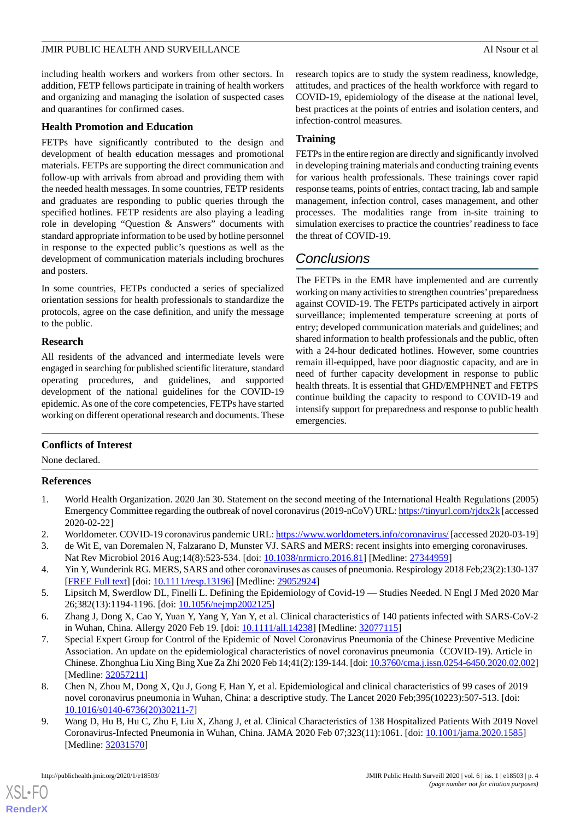including health workers and workers from other sectors. In addition, FETP fellows participate in training of health workers and organizing and managing the isolation of suspected cases and quarantines for confirmed cases.

#### **Health Promotion and Education**

FETPs have significantly contributed to the design and development of health education messages and promotional materials. FETPs are supporting the direct communication and follow-up with arrivals from abroad and providing them with the needed health messages. In some countries, FETP residents and graduates are responding to public queries through the specified hotlines. FETP residents are also playing a leading role in developing "Question & Answers" documents with standard appropriate information to be used by hotline personnel in response to the expected public's questions as well as the development of communication materials including brochures and posters.

In some countries, FETPs conducted a series of specialized orientation sessions for health professionals to standardize the protocols, agree on the case definition, and unify the message to the public.

#### **Research**

All residents of the advanced and intermediate levels were engaged in searching for published scientific literature, standard operating procedures, and guidelines, and supported development of the national guidelines for the COVID-19 epidemic. As one of the core competencies, FETPs have started working on different operational research and documents. These research topics are to study the system readiness, knowledge, attitudes, and practices of the health workforce with regard to COVID-19, epidemiology of the disease at the national level, best practices at the points of entries and isolation centers, and infection-control measures.

#### **Training**

FETPs in the entire region are directly and significantly involved in developing training materials and conducting training events for various health professionals. These trainings cover rapid response teams, points of entries, contact tracing, lab and sample management, infection control, cases management, and other processes. The modalities range from in-site training to simulation exercises to practice the countries' readiness to face the threat of COVID-19.

### *Conclusions*

The FETPs in the EMR have implemented and are currently working on many activities to strengthen countries'preparedness against COVID-19. The FETPs participated actively in airport surveillance; implemented temperature screening at ports of entry; developed communication materials and guidelines; and shared information to health professionals and the public, often with a 24-hour dedicated hotlines. However, some countries remain ill-equipped, have poor diagnostic capacity, and are in need of further capacity development in response to public health threats. It is essential that GHD/EMPHNET and FETPS continue building the capacity to respond to COVID-19 and intensify support for preparedness and response to public health emergencies.

#### <span id="page-3-0"></span>**Conflicts of Interest**

None declared.

#### <span id="page-3-1"></span>**References**

- <span id="page-3-3"></span><span id="page-3-2"></span>1. World Health Organization. 2020 Jan 30. Statement on the second meeting of the International Health Regulations (2005) Emergency Committee regarding the outbreak of novel coronavirus (2019-nCoV) URL: [https://tinyurl.com/rjdtx2k](https://www.who.int/news-room/detail/30-01-2020-statement-on-the-second-meeting-of-the-international-health-regulations-(2005)-emergency-committee-regarding-the-outbreak-of-novel-coronavirus-(2019-ncov)) [accessed 2020-02-22]
- <span id="page-3-4"></span>2. Worldometer. COVID-19 coronavirus pandemic URL:<https://www.worldometers.info/coronavirus/> [accessed 2020-03-19]
- <span id="page-3-5"></span>3. de Wit E, van Doremalen N, Falzarano D, Munster VJ. SARS and MERS: recent insights into emerging coronaviruses. Nat Rev Microbiol 2016 Aug;14(8):523-534. [doi: [10.1038/nrmicro.2016.81\]](http://dx.doi.org/10.1038/nrmicro.2016.81) [Medline: [27344959\]](http://www.ncbi.nlm.nih.gov/entrez/query.fcgi?cmd=Retrieve&db=PubMed&list_uids=27344959&dopt=Abstract)
- <span id="page-3-6"></span>4. Yin Y, Wunderink RG. MERS, SARS and other coronaviruses as causes of pneumonia. Respirology 2018 Feb;23(2):130-137 [[FREE Full text](https://doi.org/10.1111/resp.13196)] [doi: [10.1111/resp.13196\]](http://dx.doi.org/10.1111/resp.13196) [Medline: [29052924\]](http://www.ncbi.nlm.nih.gov/entrez/query.fcgi?cmd=Retrieve&db=PubMed&list_uids=29052924&dopt=Abstract)
- 5. Lipsitch M, Swerdlow DL, Finelli L. Defining the Epidemiology of Covid-19 Studies Needed. N Engl J Med 2020 Mar 26;382(13):1194-1196. [doi: [10.1056/nejmp2002125\]](http://dx.doi.org/10.1056/nejmp2002125)
- <span id="page-3-7"></span>6. Zhang J, Dong X, Cao Y, Yuan Y, Yang Y, Yan Y, et al. Clinical characteristics of 140 patients infected with SARS-CoV-2 in Wuhan, China. Allergy 2020 Feb 19. [doi: [10.1111/all.14238](http://dx.doi.org/10.1111/all.14238)] [Medline: [32077115\]](http://www.ncbi.nlm.nih.gov/entrez/query.fcgi?cmd=Retrieve&db=PubMed&list_uids=32077115&dopt=Abstract)
- <span id="page-3-8"></span>7. Special Expert Group for Control of the Epidemic of Novel Coronavirus Pneumonia of the Chinese Preventive Medicine Association. An update on the epidemiological characteristics of novel coronavirus pneumonia(COVID-19). Article in Chinese. Zhonghua Liu Xing Bing Xue Za Zhi 2020 Feb 14;41(2):139-144. [doi: [10.3760/cma.j.issn.0254-6450.2020.02.002\]](http://dx.doi.org/10.3760/cma.j.issn.0254-6450.2020.02.002) [Medline: [32057211](http://www.ncbi.nlm.nih.gov/entrez/query.fcgi?cmd=Retrieve&db=PubMed&list_uids=32057211&dopt=Abstract)]
- 8. Chen N, Zhou M, Dong X, Qu J, Gong F, Han Y, et al. Epidemiological and clinical characteristics of 99 cases of 2019 novel coronavirus pneumonia in Wuhan, China: a descriptive study. The Lancet 2020 Feb;395(10223):507-513. [doi: [10.1016/s0140-6736\(20\)30211-7](http://dx.doi.org/10.1016/s0140-6736(20)30211-7)]
- 9. Wang D, Hu B, Hu C, Zhu F, Liu X, Zhang J, et al. Clinical Characteristics of 138 Hospitalized Patients With 2019 Novel Coronavirus-Infected Pneumonia in Wuhan, China. JAMA 2020 Feb 07;323(11):1061. [doi: [10.1001/jama.2020.1585\]](http://dx.doi.org/10.1001/jama.2020.1585) [Medline: [32031570](http://www.ncbi.nlm.nih.gov/entrez/query.fcgi?cmd=Retrieve&db=PubMed&list_uids=32031570&dopt=Abstract)]

[XSL](http://www.w3.org/Style/XSL)•FO **[RenderX](http://www.renderx.com/)**